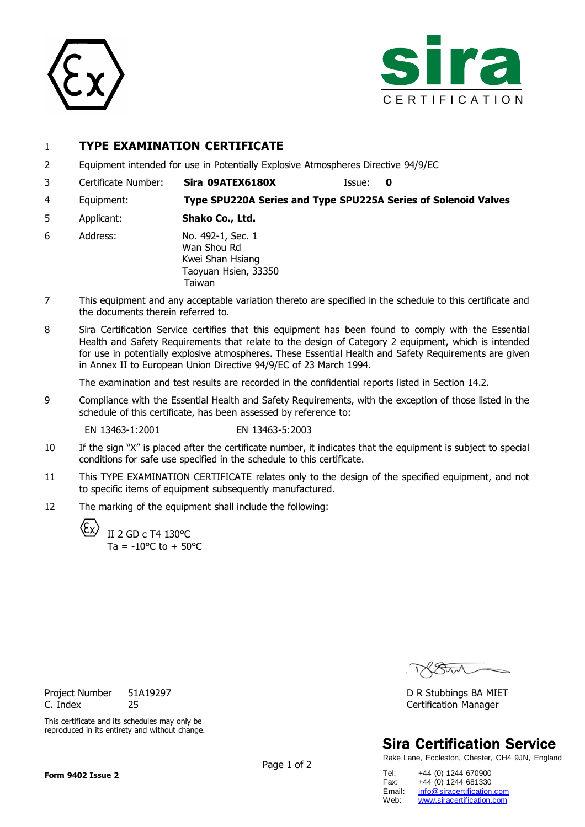



## 1 **TYPE EXAMINATION CERTIFICATE**

- 2 Equipment intended for use in Potentially Explosive Atmospheres Directive 94/9/EC
- 3 Certificate Number: **Sira 09ATEX6180X** Issue: **0**
- 4 Equipment: **Type SPU220A Series and Type SPU225A Series of Solenoid Valves**
- 5 Applicant: **Shako Co., Ltd.**
- 6 Address: No. 492-1, Sec. 1 Wan Shou Rd Kwei Shan Hsiang Taoyuan Hsien, 33350 Taiwan
- 7 This equipment and any acceptable variation thereto are specified in the schedule to this certificate and the documents therein referred to.
- 8 Sira Certification Service certifies that this equipment has been found to comply with the Essential Health and Safety Requirements that relate to the design of Category 2 equipment, which is intended for use in potentially explosive atmospheres. These Essential Health and Safety Requirements are given in Annex II to European Union Directive 94/9/EC of 23 March 1994.

The examination and test results are recorded in the confidential reports listed in Section 14.2.

9 Compliance with the Essential Health and Safety Requirements, with the exception of those listed in the schedule of this certificate, has been assessed by reference to:

EN 13463-1:2001 EN 13463-5:2003

- 10 If the sign "X" is placed after the certificate number, it indicates that the equipment is subject to special conditions for safe use specified in the schedule to this certificate.
- 11 This TYPE EXAMINATION CERTIFICATE relates only to the design of the specified equipment, and not to specific items of equipment subsequently manufactured.
- 12 The marking of the equipment shall include the following:

II 2 GD c T4 130°C  $Ta = -10^{\circ}C$  to  $+50^{\circ}C$ 

# **Sira Certification Service**

Rake Lane, Eccleston, Chester, CH4 9JN, England

| Tel:   | +44 (0) 1244 670900        |
|--------|----------------------------|
| Fax:   | +44 (0) 1244 681330        |
| Email: | info@siracertification.com |
| Web:   | www.siracertification.com  |

Project Number 51A19297 **D R Stubbings BA MIET** C. Index 25 Certification Manager

This certificate and its schedules may only be reproduced in its entirety and without change.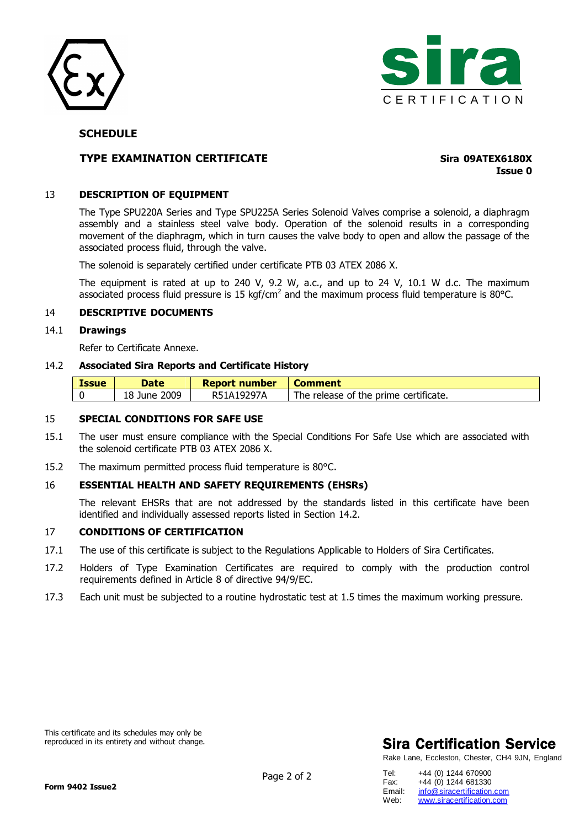



### **SCHEDULE**

## **TYPE EXAMINATION CERTIFICATE Sira 09ATEX6180X**

**Issue 0**

#### 13 **DESCRIPTION OF EQUIPMENT**

The Type SPU220A Series and Type SPU225A Series Solenoid Valves comprise a solenoid, a diaphragm assembly and a stainless steel valve body. Operation of the solenoid results in a corresponding movement of the diaphragm, which in turn causes the valve body to open and allow the passage of the associated process fluid, through the valve.

The solenoid is separately certified under certificate PTB 03 ATEX 2086 X.

The equipment is rated at up to 240 V, 9.2 W, a.c., and up to 24 V, 10.1 W d.c. The maximum associated process fluid pressure is 15 kgf/cm<sup>2</sup> and the maximum process fluid temperature is 80°C.

#### 14 **DESCRIPTIVE DOCUMENTS**

#### 14.1 **Drawings**

Refer to Certificate Annexe.

#### 14.2 **Associated Sira Reports and Certificate History**

| <i><b>Issue</b></i> | <b>Date</b>  | <b>Report number</b> | <b>Comment</b>                        |
|---------------------|--------------|----------------------|---------------------------------------|
|                     | 18 June 2009 | R51A19297A           | The release of the prime certificate. |

#### 15 **SPECIAL CONDITIONS FOR SAFE USE**

- 15.1 The user must ensure compliance with the Special Conditions For Safe Use which are associated with the solenoid certificate PTB 03 ATEX 2086 X.
- 15.2 The maximum permitted process fluid temperature is 80°C.

#### 16 **ESSENTIAL HEALTH AND SAFETY REQUIREMENTS (EHSRs)**

The relevant EHSRs that are not addressed by the standards listed in this certificate have been identified and individually assessed reports listed in Section 14.2.

### 17 **CONDITIONS OF CERTIFICATION**

- 17.1 The use of this certificate is subject to the Regulations Applicable to Holders of Sira Certificates.
- 17.2 Holders of Type Examination Certificates are required to comply with the production control requirements defined in Article 8 of directive 94/9/EC.
- 17.3 Each unit must be subjected to a routine hydrostatic test at 1.5 times the maximum working pressure.

This certificate and its schedules may only be reproduced in its entirety and without change.

## **Sira Certification Service**

Rake Lane, Eccleston, Chester, CH4 9JN, England

| Tel:   | +44 (0) 1244 670900        |
|--------|----------------------------|
| Fax:   | +44 (0) 1244 681330        |
| Email: | info@siracertification.com |
| Web:   | www.siracertification.com  |